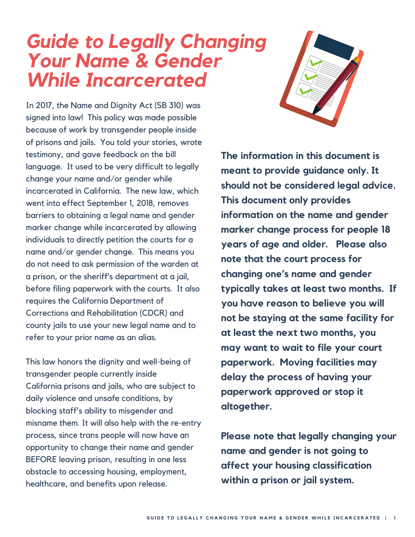### *Guide to Legally Changing Your Name & Gender While Incarcerated*

In 2017, the Name and Dignity Act (SB 310) was signed into law! This policy was made possible because of work by transgender people inside of prisons and jails. You told your stories, wrote testimony, and gave feedback on the bill language. It used to be very difficult to legally change your name and/or gender while incarcerated in California. The new law, which went into effect September 1, 2018, removes barriers to obtaining a legal name and gender marker change while incarcerated by allowing individuals to directly petition the courts for a name and/or gender change. This means you do not need to ask permission of the warden at a prison, or the sheriff's department at a jail, before filing paperwork with the courts. It also requires the California Department of Corrections and Rehabilitation (CDCR) and county jails to use your new legal name and to refer to your prior name as an alias.

This law honors the dignity and well-being of transgender people currently inside California prisons and jails, who are subject to daily violence and unsafe conditions, by blocking staff's ability to misgender and misname them. It will also help with the re-entry process, since trans people will now have an opportunity to change their name and gender BEFORE leaving prison, resulting in one less obstacle to accessing housing, employment, healthcare, and benefits upon release.



**The information in this document is meant to provide guidance only. It should not be considered legal advice. This document only provides information on the name and gender marker change process for people 18 years of age and older. Please also note that the court process for changing one's name and gender typically takes at least two months. If you have reason to believe you will not be staying at the same facility for at least the next two months, you may want to wait to file your court paperwork. Moving facilities may delay the process of having your paperwork approved or stop it altogether.**

**Please note that legally changing your name and gender is not going to affect your housing classification within a prison or jail system.**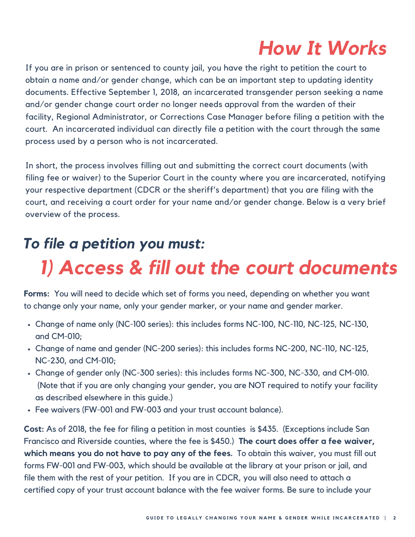### *How It Works*

If you are in prison or sentenced to county jail, you have the right to petition the court to obtain a name and/or gender change, which can be an important step to updating identity documents. Effective September 1, 2018, an incarcerated transgender person seeking a name and/or gender change court order no longer needs approval from the warden of their facility, Regional Administrator, or Corrections Case Manager before filing a petition with the court. An incarcerated individual can directly file a petition with the court through the same process used by a person who is not incarcerated.

In short, the process involves filling out and submitting the correct court documents (with filing fee or waiver) to the Superior Court in the county where you are incarcerated, notifying your respective department (CDCR or the sheriff's department) that you are filing with the court, and receiving a court order for your name and/or gender change. Below is a very brief overview of the process.

### *To file a petition you must:*

### *1) Access & fill out the court documents*

**Forms:** You will need to decide which set of forms you need, depending on whether you want to change only your name, only your gender marker, or your name and gender marker.

- Change of name only (NC-100 series): this includes forms NC-100, NC-110, NC-125, NC-130, and CM-010;
- Change of name and gender (NC-200 series): this includes forms NC-200, NC-110, NC-125, NC-230, and CM-010;
- Change of gender only (NC-300 series): this includes forms NC-300, NC-330, and CM-010. (Note that if you are only changing your gender, you are NOT required to notify your facility as described elsewhere in this guide.)
- Fee waivers (FW-001 and FW-003 and your trust account balance).

**Cost:** As of 2018, the fee for filing a petition in most counties is \$435. (Exceptions include San Francisco and Riverside counties, where the fee is \$450.) **The court does offer a fee waiver, which means you do not have to pay any of the fees.** To obtain this waiver, you must fill out forms FW-001 and FW-003, which should be available at the library at your prison or jail, and file them with the rest of your petition. If you are in CDCR, you will also need to attach a certified copy of your trust account balance with the fee waiver forms. Be sure to include your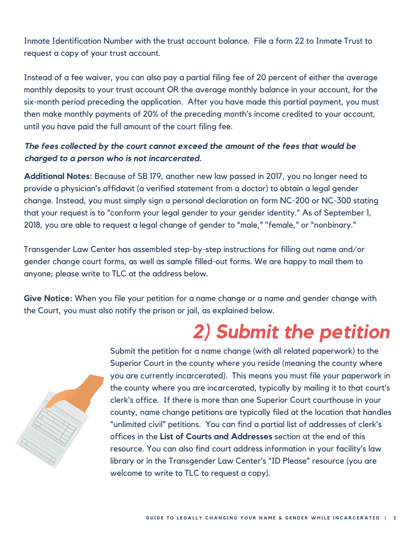Inmate Identification Number with the trust account balance. File a form 22 to Inmate Trust to request a copy of your trust account.

Instead of a fee waiver, you can also pay a partial filing fee of 20 percent of either the average monthly deposits to your trust account OR the average monthly balance in your account, for the six-month period preceding the application. After you have made this partial payment, you must then make monthly payments of 20% of the preceding month's income credited to your account, until you have paid the full amount of the court filing fee.

### *The fees collected by the court cannot exceed the amount of the fees that would be charged to a person who is not incarcerated.*

**Additional Notes:** Because of SB 179, another new law passed in 2017, you no longer need to provide a physician's affidavit (a verified statement from a doctor) to obtain a legal gender change. Instead, you must simply sign a personal declaration on form NC-200 or NC-300 stating that your request is to "conform your legal gender to your gender identity." As of September 1, 2018, you are able to request a legal change of gender to "male," "female," or "nonbinary."

Transgender Law Center has assembled step-by-step instructions for filling out name and/or gender change court forms, as well as sample filled-out forms. We are happy to mail them to anyone; please write to TLC at the address below.

**Give Notice:** When you file your petition for a name change or a name and gender change with the Court, you must also notify the prison or jail, as explained below.

# *2) Submit the petition*



Submit the petition for a name change (with all related paperwork) to the Superior Court in the county where you reside (meaning the county where you are currently incarcerated). This means you must file your paperwork in the county where you are incarcerated, typically by mailing it to that court's clerk's office. If there is more than one Superior Court courthouse in your county, name change petitions are typically filed at the location that handles "unlimited civil" petitions. You can find a partial list of addresses of clerk's offices in the **List of Courts and Addresses** section at the end of this resource. You can also find court address information in your facility's law library or in the Transgender Law Center's "ID Please" resource (you are welcome to write to TLC to request a copy).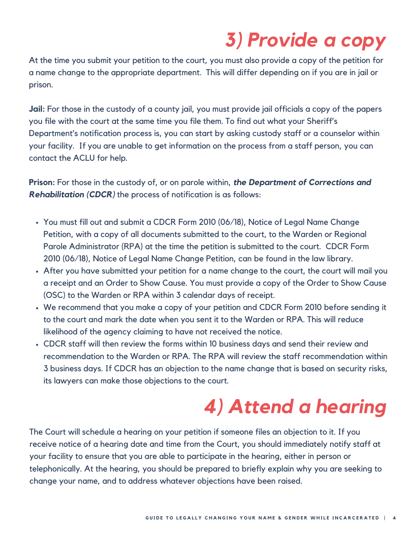### *3) Provide a copy*

At the time you submit your petition to the court, you must also provide a copy of the petition for a name change to the appropriate department. This will differ depending on if you are in jail or prison.

**Jail:** For those in the custody of a county jail, you must provide jail officials a copy of the papers you file with the court at the same time you file them. To find out what your Sheriff's Department's notification process is, you can start by asking custody staff or a counselor within your facility. If you are unable to get information on the process from a staff person, you can contact the ACLU for help.

**Prison:** For those in the custody of, or on parole within, *the Department of Corrections and Rehabilitation (CDCR)* the process of notification is as follows:

- You must fill out and submit a CDCR Form 2010 (06/18), Notice of Legal Name Change Petition, with a copy of all documents submitted to the court, to the Warden or Regional Parole Administrator (RPA) at the time the petition is submitted to the court. CDCR Form 2010 (06/18), Notice of Legal Name Change Petition, can be found in the law library.
- After you have submitted your petition for a name change to the court, the court will mail you a receipt and an Order to Show Cause. You must provide a copy of the Order to Show Cause (OSC) to the Warden or RPA within 3 calendar days of receipt.
- We recommend that you make a copy of your petition and CDCR Form 2010 before sending it to the court and mark the date when you sent it to the Warden or RPA. This will reduce likelihood of the agency claiming to have not received the notice.
- CDCR staff will then review the forms within 10 business days and send their review and recommendation to the Warden or RPA. The RPA will review the staff recommendation within 3 business days. If CDCR has an objection to the name change that is based on security risks, its lawyers can make those objections to the court.

# *4) Attend a hearing*

The Court will schedule a hearing on your petition if someone files an objection to it. If you receive notice of a hearing date and time from the Court, you should immediately notify staff at your facility to ensure that you are able to participate in the hearing, either in person or telephonically. At the hearing, you should be prepared to briefly explain why you are seeking to change your name, and to address whatever objections have been raised.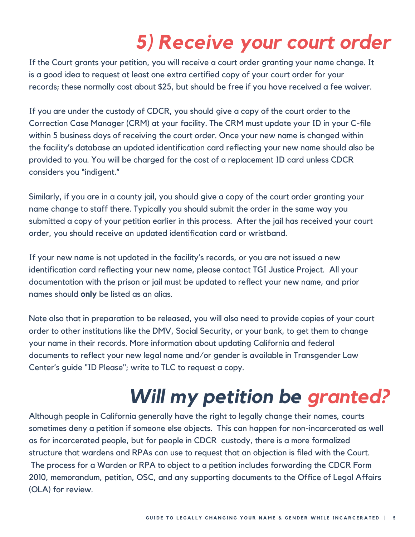### *5) Receive your court order*

If the Court grants your petition, you will receive a court order granting your name change. It is a good idea to request at least one extra certified copy of your court order for your records; these normally cost about \$25, but should be free if you have received a fee waiver.

If you are under the custody of CDCR, you should give a copy of the court order to the Correction Case Manager (CRM) at your facility. The CRM must update your ID in your C-file within 5 business days of receiving the court order. Once your new name is changed within the facility's database an updated identification card reflecting your new name should also be provided to you. You will be charged for the cost of a replacement ID card unless CDCR considers you "indigent."

Similarly, if you are in a county jail, you should give a copy of the court order granting your name change to staff there. Typically you should submit the order in the same way you submitted a copy of your petition earlier in this process. After the jail has received your court order, you should receive an updated identification card or wristband.

If your new name is not updated in the facility's records, or you are not issued a new identification card reflecting your new name, please contact TGI Justice Project. All your documentation with the prison or jail must be updated to reflect your new name, and prior names should **only** be listed as an alias.

Note also that in preparation to be released, you will also need to provide copies of your court order to other institutions like the DMV, Social Security, or your bank, to get them to change your name in their records. More information about updating California and federal documents to reflect your new legal name and/or gender is available in Transgender Law Center's guide "ID Please"; write to TLC to request a copy.

# *Will my petition be granted?*

Although people in California generally have the right to legally change their names, courts sometimes deny a petition if someone else objects. This can happen for non-incarcerated as well as for incarcerated people, but for people in CDCR custody, there is a more formalized structure that wardens and RPAs can use to request that an objection is filed with the Court. The process for a Warden or RPA to object to a petition includes forwarding the CDCR Form 2010, memorandum, petition, OSC, and any supporting documents to the Office of Legal Affairs (OLA) for review.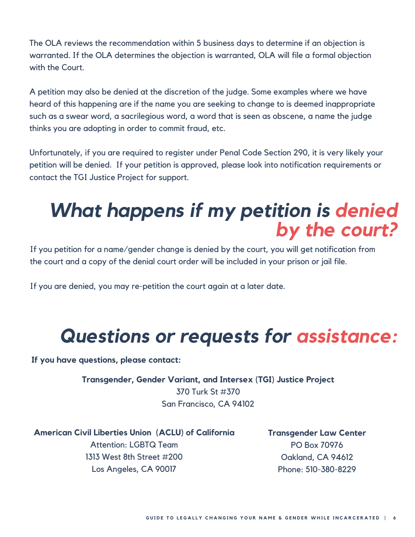The OLA reviews the recommendation within 5 business days to determine if an objection is warranted. If the OLA determines the objection is warranted, OLA will file a formal objection with the Court.

A petition may also be denied at the discretion of the judge. Some examples where we have heard of this happening are if the name you are seeking to change to is deemed inappropriate such as a swear word, a sacrilegious word, a word that is seen as obscene, a name the judge thinks you are adopting in order to commit fraud, etc.

Unfortunately, if you are required to register under Penal Code Section 290, it is very likely your petition will be denied. If your petition is approved, please look into notification requirements or contact the TGI Justice Project for support.

### *What happens if my petition is denied by the court?*

If you petition for a name/gender change is denied by the court, you will get notification from the court and a copy of the denial court order will be included in your prison or jail file.

If you are denied, you may re-petition the court again at a later date.

# *Questions or requests for assistance:*

**If you have questions, please contact:**

**Transgender, Gender Variant, and Intersex (TGI) Justice Project** 370 Turk St #370 San Francisco, CA 94102

### **American Civil Liberties Union (ACLU) of California** Attention: LGBTQ Team 1313 West 8th Street #200 Los Angeles, CA 90017

**Transgender Law Center** PO Box 70976 Oakland, CA 94612 Phone: 510-380-8229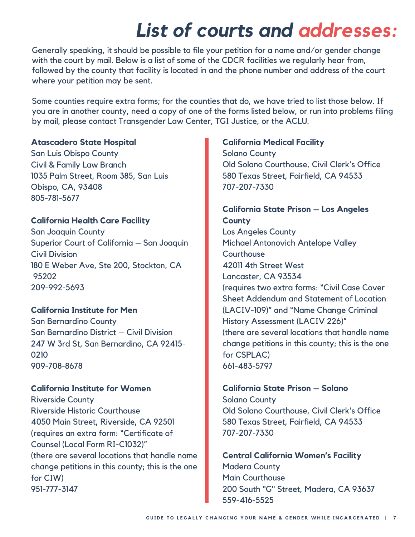### *List of courts and addresses:*

Generally speaking, it should be possible to file your petition for a name and/or gender change with the court by mail. Below is a list of some of the CDCR facilities we regularly hear from, followed by the county that facility is located in and the phone number and address of the court where your petition may be sent.

Some counties require extra forms; for the counties that do, we have tried to list those below. If you are in another county, need a copy of one of the forms listed below, or run into problems filing by mail, please contact Transgender Law Center, TGI Justice, or the ACLU.

#### **Atascadero State Hospital**

San Luis Obispo County Civil & Family Law Branch 1035 Palm Street, Room 385, San Luis Obispo, CA, 93408 805-781-5677

#### **California Health Care Facility**

San Joaquin County Superior Court of California – San Joaquin Civil Division 180 E Weber Ave, Ste 200, Stockton, CA 95202 209-992-5693

#### **California Institute for Men**

San Bernardino County San Bernardino District – Civil Division 247 W 3rd St, San Bernardino, CA 92415- 0210 909-708-8678

#### **California Institute for Women**

Riverside County Riverside Historic Courthouse 4050 Main Street, Riverside, CA 92501 (requires an extra form: "Certificate of Counsel (Local Form RI-C1032)" (there are several locations that handle name change petitions in this county; this is the one for CIW) 951-777-3147

#### **California Medical Facility**

Solano County Old Solano Courthouse, Civil Clerk's Office 580 Texas Street, Fairfield, CA 94533 707-207-7330

### **California State Prison – Los Angeles County**

Los Angeles County Michael Antonovich Antelope Valley **Courthouse** 42011 4th Street West Lancaster, CA 93534 (requires two extra forms: "Civil Case Cover Sheet Addendum and Statement of Location (LACIV-109)" and "Name Change Criminal History Assessment (LACIV 226)" (there are several locations that handle name change petitions in this county; this is the one for CSPLAC) 661-483-5797

#### **California State Prison – Solano**

Solano County Old Solano Courthouse, Civil Clerk's Office 580 Texas Street, Fairfield, CA 94533 707-207-7330

**Central California Women's Facility** Madera County Main Courthouse 200 South "G" Street, Madera, CA 93637 559-416-5525